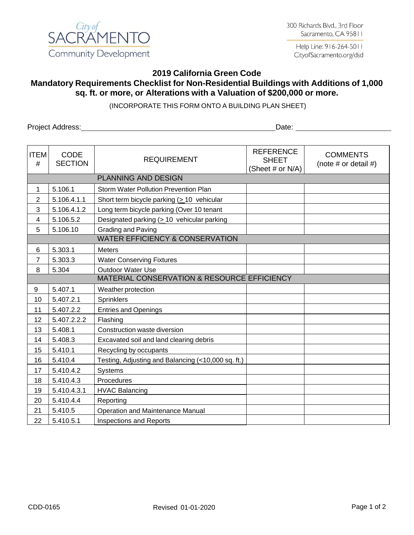

Help Line: 916-264-5011 CityofSacramento.org/dsd

## **2019 California Green Code Mandatory Requirements Checklist for Non-Residential Buildings with Additions of 1,000 sq. ft. or more, or Alterations with a Valuation of \$200,000 or more.**

(INCORPORATE THIS FORM ONTO A BUILDING PLAN SHEET)

Project Address: Date:

| <b>ITEM</b><br>#                            | <b>CODE</b><br><b>SECTION</b>              | <b>REQUIREMENT</b>                                 | <b>REFERENCE</b><br><b>SHEET</b><br>(Sheet # or N/A) | <b>COMMENTS</b><br>(note $#$ or detail $#$ ) |  |  |
|---------------------------------------------|--------------------------------------------|----------------------------------------------------|------------------------------------------------------|----------------------------------------------|--|--|
| <b>PLANNING AND DESIGN</b>                  |                                            |                                                    |                                                      |                                              |  |  |
| 1                                           | 5.106.1                                    | <b>Storm Water Pollution Prevention Plan</b>       |                                                      |                                              |  |  |
| $\overline{2}$                              | 5.106.4.1.1                                | Short term bicycle parking (> 10 vehicular         |                                                      |                                              |  |  |
| 3                                           | 5.106.4.1.2                                | Long term bicycle parking (Over 10 tenant          |                                                      |                                              |  |  |
| 4                                           | 5.106.5.2                                  | Designated parking $( \geq 10$ vehicular parking   |                                                      |                                              |  |  |
| 5                                           | 5.106.10                                   | Grading and Paving                                 |                                                      |                                              |  |  |
|                                             | <b>WATER EFFICIENCY &amp; CONSERVATION</b> |                                                    |                                                      |                                              |  |  |
| 6                                           | 5.303.1                                    | <b>Meters</b>                                      |                                                      |                                              |  |  |
| $\overline{7}$                              | 5.303.3                                    | <b>Water Conserving Fixtures</b>                   |                                                      |                                              |  |  |
| 8                                           | 5.304                                      | <b>Outdoor Water Use</b>                           |                                                      |                                              |  |  |
| MATERIAL CONSERVATION & RESOURCE EFFICIENCY |                                            |                                                    |                                                      |                                              |  |  |
| 9                                           | 5.407.1                                    | Weather protection                                 |                                                      |                                              |  |  |
| 10                                          | 5.407.2.1                                  | Sprinklers                                         |                                                      |                                              |  |  |
| 11                                          | 5.407.2.2                                  | <b>Entries and Openings</b>                        |                                                      |                                              |  |  |
| 12                                          | 5.407.2.2.2                                | Flashing                                           |                                                      |                                              |  |  |
| 13                                          | 5.408.1                                    | Construction waste diversion                       |                                                      |                                              |  |  |
| 14                                          | 5.408.3                                    | Excavated soil and land clearing debris            |                                                      |                                              |  |  |
| 15                                          | 5.410.1                                    | Recycling by occupants                             |                                                      |                                              |  |  |
| 16                                          | 5.410.4                                    | Testing, Adjusting and Balancing (<10,000 sq. ft.) |                                                      |                                              |  |  |
| 17                                          | 5.410.4.2                                  | <b>Systems</b>                                     |                                                      |                                              |  |  |
| 18                                          | 5.410.4.3                                  | Procedures                                         |                                                      |                                              |  |  |
| 19                                          | 5.410.4.3.1                                | <b>HVAC Balancing</b>                              |                                                      |                                              |  |  |
| 20                                          | 5.410.4.4                                  | Reporting                                          |                                                      |                                              |  |  |
| 21                                          | 5.410.5                                    | <b>Operation and Maintenance Manual</b>            |                                                      |                                              |  |  |
| 22                                          | 5.410.5.1                                  | <b>Inspections and Reports</b>                     |                                                      |                                              |  |  |